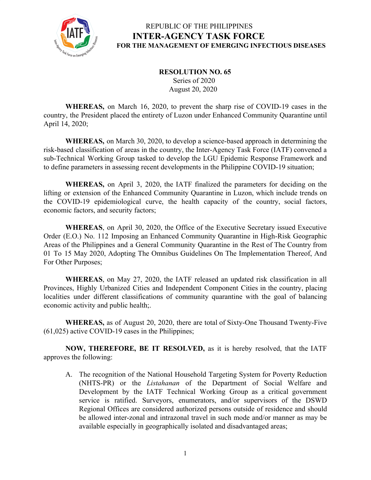

### REPUBLIC OF THE PHILIPPINES **INTER-AGENCY TASK FORCE FOR THE MANAGEMENT OF EMERGING INFECTIOUS DISEASES**

### **RESOLUTION NO. 65** Series of 2020 August 20, 2020

**WHEREAS,** on March 16, 2020, to prevent the sharp rise of COVID-19 cases in the country, the President placed the entirety of Luzon under Enhanced Community Quarantine until April 14, 2020;

**WHEREAS,** on March 30, 2020, to develop a science-based approach in determining the risk-based classification of areas in the country, the Inter-Agency Task Force (IATF) convened a sub-Technical Working Group tasked to develop the LGU Epidemic Response Framework and to define parameters in assessing recent developments in the Philippine COVID-19 situation;

**WHEREAS,** on April 3, 2020, the IATF finalized the parameters for deciding on the lifting or extension of the Enhanced Community Quarantine in Luzon, which include trends on the COVID-19 epidemiological curve, the health capacity of the country, social factors, economic factors, and security factors;

**WHEREAS**, on April 30, 2020, the Office of the Executive Secretary issued Executive Order (E.O.) No. 112 Imposing an Enhanced Community Quarantine in High-Risk Geographic Areas of the Philippines and a General Community Quarantine in the Rest of The Country from 01 To 15 May 2020, Adopting The Omnibus Guidelines On The Implementation Thereof, And For Other Purposes;

**WHEREAS**, on May 27, 2020, the IATF released an updated risk classification in all Provinces, Highly Urbanized Cities and Independent Component Cities in the country, placing localities under different classifications of community quarantine with the goal of balancing economic activity and public health;.

**WHEREAS,** as of August 20, 2020, there are total of Sixty-One Thousand Twenty-Five (61,025) active COVID-19 cases in the Philippines;

**NOW, THEREFORE, BE IT RESOLVED,** as it is hereby resolved, that the IATF approves the following:

A. The recognition of the National Household Targeting System for Poverty Reduction (NHTS-PR) or the *Listahanan* of the Department of Social Welfare and Development by the IATF Technical Working Group as a critical government service is ratified. Surveyors, enumerators, and/or supervisors of the DSWD Regional Offices are considered authorized persons outside of residence and should be allowed inter-zonal and intrazonal travel in such mode and/or manner as may be available especially in geographically isolated and disadvantaged areas;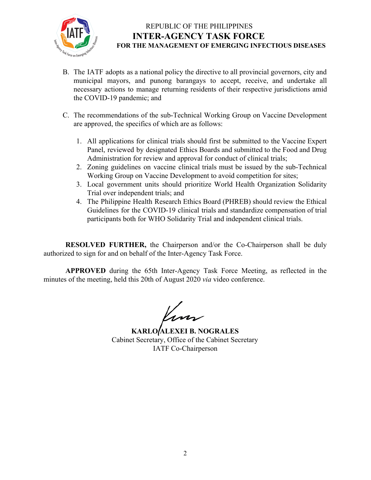

# REPUBLIC OF THE PHILIPPINES **INTER-AGENCY TASK FORCE FOR THE MANAGEMENT OF EMERGING INFECTIOUS DISEASES**

- B. The IATF adopts as a national policy the directive to all provincial governors, city and municipal mayors, and punong barangays to accept, receive, and undertake all necessary actions to manage returning residents of their respective jurisdictions amid the COVID-19 pandemic; and
- C. The recommendations of the sub-Technical Working Group on Vaccine Development are approved, the specifics of which are as follows:
	- 1. All applications for clinical trials should first be submitted to the Vaccine Expert Panel, reviewed by designated Ethics Boards and submitted to the Food and Drug Administration for review and approval for conduct of clinical trials;
	- 2. Zoning guidelines on vaccine clinical trials must be issued by the sub-Technical Working Group on Vaccine Development to avoid competition for sites;
	- 3. Local government units should prioritize World Health Organization Solidarity Trial over independent trials; and
	- 4. The Philippine Health Research Ethics Board (PHREB) should review the Ethical Guidelines for the COVID-19 clinical trials and standardize compensation of trial participants both for WHO Solidarity Trial and independent clinical trials.

**RESOLVED FURTHER,** the Chairperson and/or the Co-Chairperson shall be duly authorized to sign for and on behalf of the Inter-Agency Task Force.

**APPROVED** during the 65th Inter-Agency Task Force Meeting, as reflected in the minutes of the meeting, held this 20th of August 2020 *via* video conference.

/<br>ww

**KARLO ALEXEI B. NOGRALES** Cabinet Secretary, Office of the Cabinet Secretary IATF Co-Chairperson